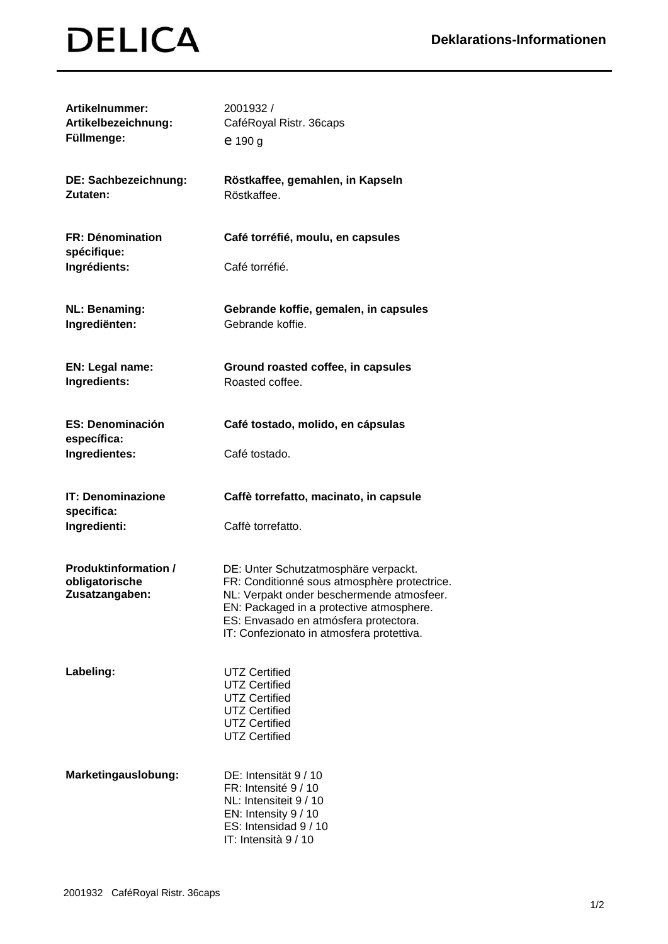## **DELICA**

| Artikelnummer:<br>Artikelbezeichnung:<br>Füllmenge:             | 2001932 /<br>CaféRoyal Ristr. 36caps<br>e 190 g                                                                                                                                                                                                                     |
|-----------------------------------------------------------------|---------------------------------------------------------------------------------------------------------------------------------------------------------------------------------------------------------------------------------------------------------------------|
| DE: Sachbezeichnung:<br>Zutaten:                                | Röstkaffee, gemahlen, in Kapseln<br>Röstkaffee.                                                                                                                                                                                                                     |
| <b>FR: Dénomination</b><br>spécifique:                          | Café torréfié, moulu, en capsules                                                                                                                                                                                                                                   |
| Ingrédients:                                                    | Café torréfié.                                                                                                                                                                                                                                                      |
| <b>NL: Benaming:</b><br>Ingrediënten:                           | Gebrande koffie, gemalen, in capsules<br>Gebrande koffie.                                                                                                                                                                                                           |
| EN: Legal name:<br>Ingredients:                                 | Ground roasted coffee, in capsules<br>Roasted coffee.                                                                                                                                                                                                               |
| <b>ES: Denominación</b><br>específica:                          | Café tostado, molido, en cápsulas                                                                                                                                                                                                                                   |
| Ingredientes:                                                   | Café tostado.                                                                                                                                                                                                                                                       |
| <b>IT: Denominazione</b><br>specifica:<br>Ingredienti:          | Caffè torrefatto, macinato, in capsule<br>Caffè torrefatto.                                                                                                                                                                                                         |
|                                                                 |                                                                                                                                                                                                                                                                     |
| <b>Produktinformation /</b><br>obligatorische<br>Zusatzangaben: | DE: Unter Schutzatmosphäre verpackt.<br>FR: Conditionné sous atmosphère protectrice.<br>NL: Verpakt onder beschermende atmosfeer.<br>EN: Packaged in a protective atmosphere.<br>ES: Envasado en atmósfera protectora.<br>IT: Confezionato in atmosfera protettiva. |
| Labeling:                                                       | <b>UTZ Certified</b><br><b>UTZ Certified</b><br><b>UTZ Certified</b><br><b>UTZ Certified</b><br><b>UTZ Certified</b><br><b>UTZ Certified</b>                                                                                                                        |
| Marketingauslobung:                                             | DE: Intensität 9 / 10<br>FR: Intensité 9 / 10<br>NL: Intensiteit 9 / 10<br>EN: Intensity 9 / 10<br>ES: Intensidad 9 / 10<br>IT: Intensità 9 / 10                                                                                                                    |